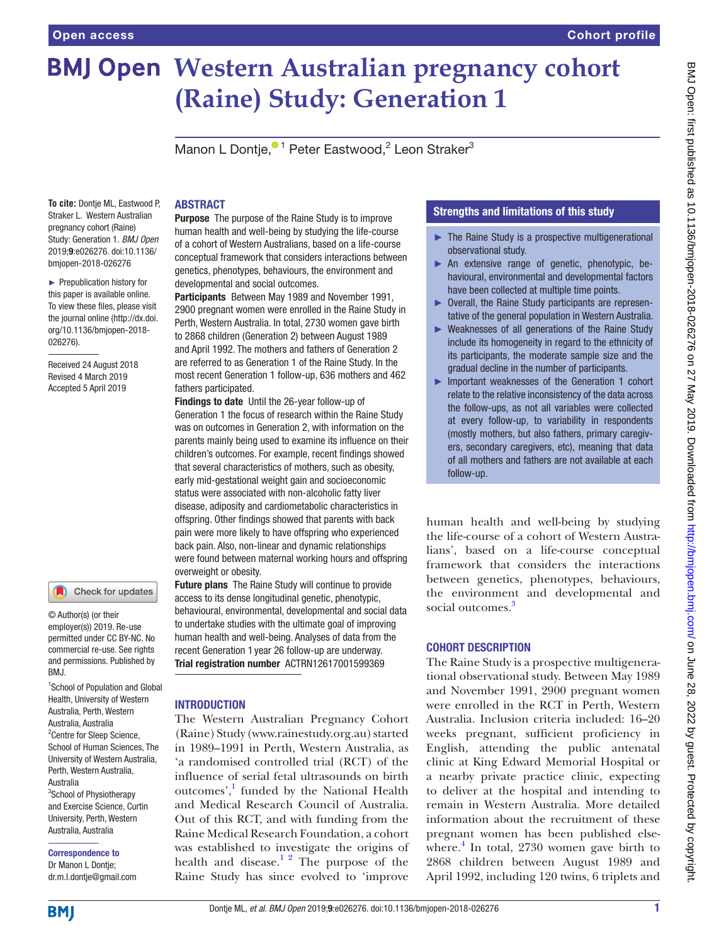# **BMJ Open Western Australian pregnancy cohort (Raine) Study: Generation 1**

Manon L Dontje[,](http://orcid.org/0000-0002-0348-9556)<sup>® 1</sup> Peter Eastwood,<sup>2</sup> Leon Straker<sup>3</sup>

**To cite:** Dontje ML, Eastwood P, Straker L. Western Australian pregnancy cohort (Raine) Study: Generation 1. *BMJ Open* 2019;9:e026276. doi:10.1136/ bmjopen-2018-026276

► Prepublication history for this paper is available online. To view these files, please visit the journal online [\(http://dx.doi.](http://dx.doi.org/10.1136/bmjopen-2018-026276) [org/10.1136/bmjopen-2018-](http://dx.doi.org/10.1136/bmjopen-2018-026276) [026276\)](http://dx.doi.org/10.1136/bmjopen-2018-026276).

Received 24 August 2018 Revised 4 March 2019 Accepted 5 April 2019

# Check for updates

© Author(s) (or their employer(s)) 2019. Re-use permitted under CC BY-NC. No commercial re-use. See rights and permissions. Published by RM<sub>J</sub>

1 School of Population and Global Health, University of Western Australia, Perth, Western Australia, Australia <sup>2</sup> Centre for Sleep Science, School of Human Sciences, The University of Western Australia, Perth, Western Australia, Australia <sup>3</sup>School of Physiotherapy and Exercise Science, Curtin University, Perth, Western Australia, Australia

Correspondence to Dr Manon L Dontje; dr.m.l.dontje@gmail.com

#### **ABSTRACT**

**Purpose** The purpose of the Raine Study is to improve human health and well-being by studying the life-course of a cohort of Western Australians, based on a life-course conceptual framework that considers interactions between genetics, phenotypes, behaviours, the environment and developmental and social outcomes.

Participants Between May 1989 and November 1991, 2900 pregnant women were enrolled in the Raine Study in Perth, Western Australia. In total, 2730 women gave birth to 2868 children (Generation 2) between August 1989 and April 1992. The mothers and fathers of Generation 2 are referred to as Generation 1 of the Raine Study. In the most recent Generation 1 follow-up, 636 mothers and 462 fathers participated.

Findings to date Until the 26-year follow-up of Generation 1 the focus of research within the Raine Study was on outcomes in Generation 2, with information on the parents mainly being used to examine its influence on their children's outcomes. For example, recent findings showed that several characteristics of mothers, such as obesity, early mid-gestational weight gain and socioeconomic status were associated with non-alcoholic fatty liver disease, adiposity and cardiometabolic characteristics in offspring. Other findings showed that parents with back pain were more likely to have offspring who experienced back pain. Also, non-linear and dynamic relationships were found between maternal working hours and offspring overweight or obesity.

Future plans The Raine Study will continue to provide access to its dense longitudinal genetic, phenotypic, behavioural, environmental, developmental and social data to undertake studies with the ultimate goal of improving human health and well-being. Analyses of data from the recent Generation 1 year 26 follow-up are underway. Trial registration number ACTRN12617001599369

### **INTRODUCTION**

The Western Australian Pregnancy Cohort (Raine) Study ([www.rainestudy.org.au](http://www.rainestudy.org.au)) started in 1989–1991 in Perth, Western Australia, as 'a randomised controlled trial (RCT) of the influence of serial fetal ultrasounds on birth outcomes',<sup>[1](#page-9-0)</sup> funded by the National Health and Medical Research Council of Australia. Out of this RCT, and with funding from the Raine Medical Research Foundation, a cohort was established to investigate the origins of health and disease.<sup>12</sup> The purpose of the Raine Study has since evolved to 'improve

# Strengths and limitations of this study

- $\blacktriangleright$  The Raine Study is a prospective multigenerational observational study.
- ► An extensive range of genetic, phenotypic, behavioural, environmental and developmental factors have been collected at multiple time points.
- ► Overall, the Raine Study participants are representative of the general population in Western Australia.
- ► Weaknesses of all generations of the Raine Study include its homogeneity in regard to the ethnicity of its participants, the moderate sample size and the gradual decline in the number of participants.
- ► Important weaknesses of the Generation 1 cohort relate to the relative inconsistency of the data across the follow-ups, as not all variables were collected at every follow-up, to variability in respondents (mostly mothers, but also fathers, primary caregivers, secondary caregivers, etc), meaning that data of all mothers and fathers are not available at each follow-up.

human health and well-being by studying the life-course of a cohort of Western Australians', based on a life-course conceptual framework that considers the interactions between genetics, phenotypes, behaviours, the environment and developmental and social outcomes.<sup>[3](#page-9-1)</sup>

### Cohort description

The Raine Study is a prospective multigenerational observational study. Between May 1989 and November 1991, 2900 pregnant women were enrolled in the RCT in Perth, Western Australia. Inclusion criteria included: 16–20 weeks pregnant, sufficient proficiency in English, attending the public antenatal clinic at King Edward Memorial Hospital or a nearby private practice clinic, expecting to deliver at the hospital and intending to remain in Western Australia. More detailed information about the recruitment of these pregnant women has been published elsewhere. $4$  In total, 2730 women gave birth to 2868 children between August 1989 and April 1992, including 120 twins, 6 triplets and

**BMI**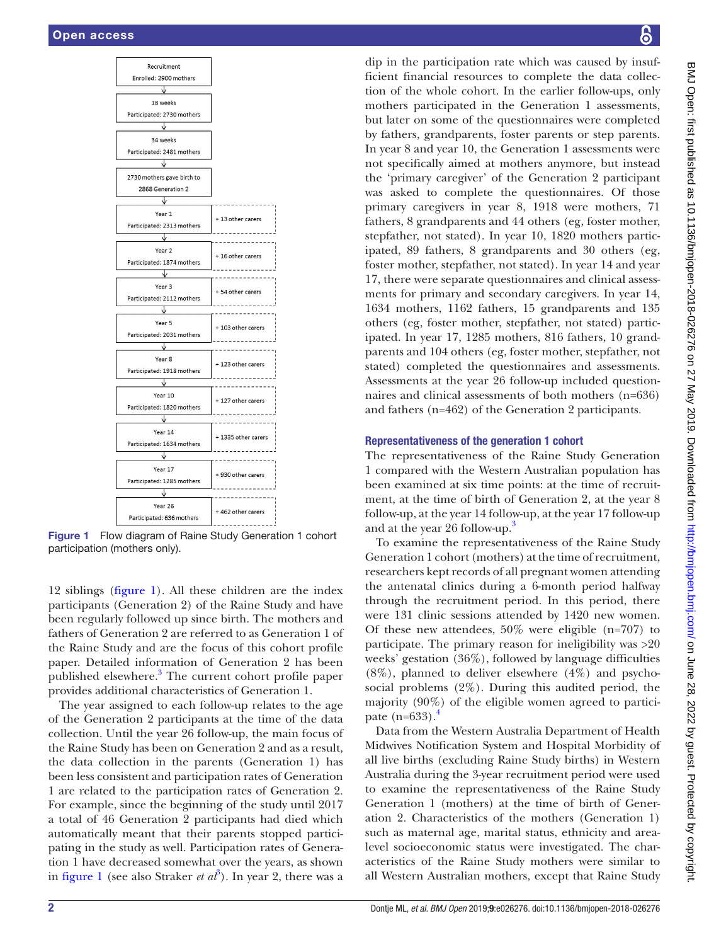

<span id="page-1-0"></span>Figure 1 Flow diagram of Raine Study Generation 1 cohort participation (mothers only).

12 siblings [\(figure](#page-1-0) 1). All these children are the index participants (Generation 2) of the Raine Study and have been regularly followed up since birth. The mothers and fathers of Generation 2 are referred to as Generation 1 of the Raine Study and are the focus of this cohort profile paper. Detailed information of Generation 2 has been published elsewhere.<sup>[3](#page-9-1)</sup> The current cohort profile paper provides additional characteristics of Generation 1.

The year assigned to each follow-up relates to the age of the Generation 2 participants at the time of the data collection. Until the year 26 follow-up, the main focus of the Raine Study has been on Generation 2 and as a result, the data collection in the parents (Generation 1) has been less consistent and participation rates of Generation 1 are related to the participation rates of Generation 2. For example, since the beginning of the study until 2017 a total of 46 Generation 2 participants had died which automatically meant that their parents stopped participating in the study as well. Participation rates of Generation 1 have decreased somewhat over the years, as shown in [figure](#page-1-0) 1 (see also Straker *et*  $a\hat{t}$ ). In year 2, there was a

dip in the participation rate which was caused by insufficient financial resources to complete the data collection of the whole cohort. In the earlier follow-ups, only mothers participated in the Generation 1 assessments, but later on some of the questionnaires were completed by fathers, grandparents, foster parents or step parents. In year 8 and year 10, the Generation 1 assessments were not specifically aimed at mothers anymore, but instead the 'primary caregiver' of the Generation 2 participant was asked to complete the questionnaires. Of those primary caregivers in year 8, 1918 were mothers, 71 fathers, 8 grandparents and 44 others (eg, foster mother, stepfather, not stated). In year 10, 1820 mothers participated, 89 fathers, 8 grandparents and 30 others (eg, foster mother, stepfather, not stated). In year 14 and year 17, there were separate questionnaires and clinical assessments for primary and secondary caregivers. In year 14, 1634 mothers, 1162 fathers, 15 grandparents and 135 others (eg, foster mother, stepfather, not stated) participated. In year 17, 1285 mothers, 816 fathers, 10 grandparents and 104 others (eg, foster mother, stepfather, not stated) completed the questionnaires and assessments. Assessments at the year 26 follow-up included questionnaires and clinical assessments of both mothers (n=636) and fathers (n=462) of the Generation 2 participants.

#### Representativeness of the generation 1 cohort

The representativeness of the Raine Study Generation 1 compared with the Western Australian population has been examined at six time points: at the time of recruitment, at the time of birth of Generation 2, at the year 8 follow-up, at the year 14 follow-up, at the year 17 follow-up and at the year 26 follow-up.<sup>3</sup>

To examine the representativeness of the Raine Study Generation 1 cohort (mothers) at the time of recruitment, researchers kept records of all pregnant women attending the antenatal clinics during a 6-month period halfway through the recruitment period. In this period, there were 131 clinic sessions attended by 1420 new women. Of these new attendees, 50% were eligible (n=707) to participate. The primary reason for ineligibility was >20 weeks' gestation (36%), followed by language difficulties  $(8\%)$ , planned to deliver elsewhere  $(4\%)$  and psychosocial problems (2%). During this audited period, the majority (90%) of the eligible women agreed to participate  $(n=633)$ .

Data from the Western Australia Department of Health Midwives Notification System and Hospital Morbidity of all live births (excluding Raine Study births) in Western Australia during the 3-year recruitment period were used to examine the representativeness of the Raine Study Generation 1 (mothers) at the time of birth of Generation 2. Characteristics of the mothers (Generation 1) such as maternal age, marital status, ethnicity and arealevel socioeconomic status were investigated. The characteristics of the Raine Study mothers were similar to all Western Australian mothers, except that Raine Study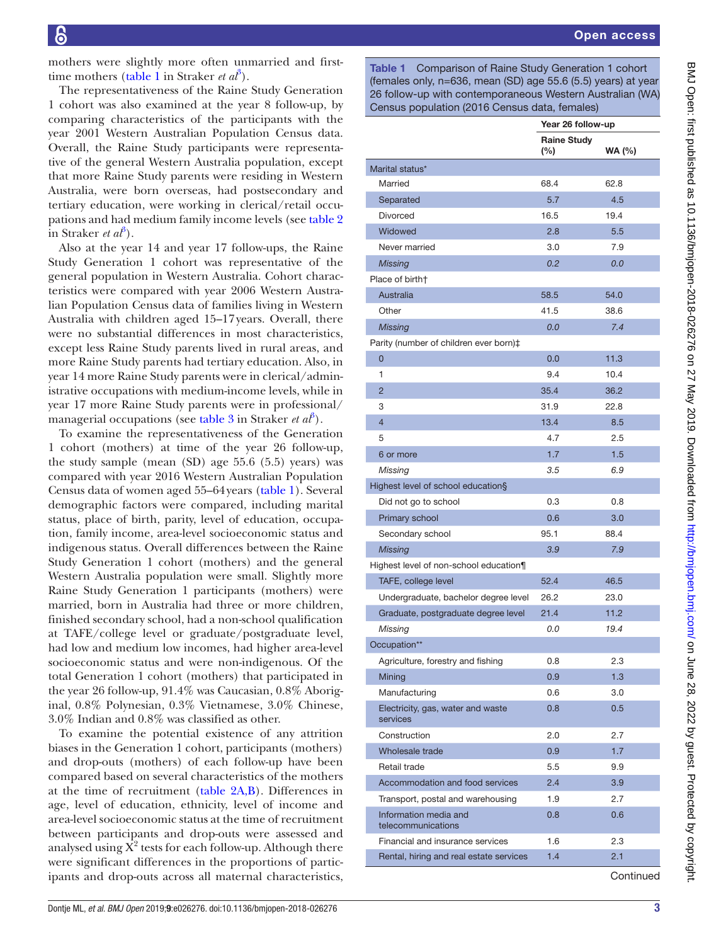mothers were slightly more often unmarried and firsttime mothers ([table](#page-2-0) 1 in Straker *et al*<sup>[3](#page-9-1)</sup>).

The representativeness of the Raine Study Generation 1 cohort was also examined at the year 8 follow-up, by comparing characteristics of the participants with the year 2001 Western Australian Population Census data. Overall, the Raine Study participants were representative of the general Western Australia population, except that more Raine Study parents were residing in Western Australia, were born overseas, had postsecondary and tertiary education, were working in clerical/retail occupations and had medium family income levels (see [table](#page-4-0) 2  $\sin$  Straker *et al*<sup>[3](#page-9-1)</sup>).

Also at the year 14 and year 17 follow-ups, the Raine Study Generation 1 cohort was representative of the general population in Western Australia. Cohort characteristics were compared with year 2006 Western Australian Population Census data of families living in Western Australia with children aged 15–17years. Overall, there were no substantial differences in most characteristics, except less Raine Study parents lived in rural areas, and more Raine Study parents had tertiary education. Also, in year 14 more Raine Study parents were in clerical/administrative occupations with medium-income levels, while in year 17 more Raine Study parents were in professional/ managerial occupations (see [table](#page-6-0) [3](#page-9-1) in Straker *et al*<sup>3</sup>).

To examine the representativeness of the Generation 1 cohort (mothers) at time of the year 26 follow-up, the study sample (mean (SD) age 55.6 (5.5) years) was compared with year 2016 Western Australian Population Census data of women aged 55–64years ([table](#page-2-0) 1). Several demographic factors were compared, including marital status, place of birth, parity, level of education, occupation, family income, area-level socioeconomic status and indigenous status. Overall differences between the Raine Study Generation 1 cohort (mothers) and the general Western Australia population were small. Slightly more Raine Study Generation 1 participants (mothers) were married, born in Australia had three or more children, finished secondary school, had a non-school qualification at TAFE/college level or graduate/postgraduate level, had low and medium low incomes, had higher area-level socioeconomic status and were non-indigenous. Of the total Generation 1 cohort (mothers) that participated in the year 26 follow-up, 91.4% was Caucasian, 0.8% Aboriginal, 0.8% Polynesian, 0.3% Vietnamese, 3.0% Chinese, 3.0% Indian and 0.8% was classified as other.

To examine the potential existence of any attrition biases in the Generation 1 cohort, participants (mothers) and drop-outs (mothers) of each follow-up have been compared based on several characteristics of the mothers at the time of recruitment [\(table](#page-4-0) 2A,B). Differences in age, level of education, ethnicity, level of income and area-level socioeconomic status at the time of recruitment between participants and drop-outs were assessed and analysed using  $\overline{X}^2$  tests for each follow-up. Although there were significant differences in the proportions of participants and drop-outs across all maternal characteristics,

<span id="page-2-0"></span>Table 1 Comparison of Raine Study Generation 1 cohort (females only, n=636, mean (SD) age 55.6 (5.5) years) at year 26 follow-up with contemporaneous Western Australian (WA) Census population (2016 Census data, females)

|                                               |                              | Year 26 follow-up |
|-----------------------------------------------|------------------------------|-------------------|
|                                               | <b>Raine Study</b><br>$(\%)$ | <b>WA (%)</b>     |
| Marital status*                               |                              |                   |
| Married                                       | 68.4                         | 62.8              |
| Separated                                     | 5.7                          | 4.5               |
| Divorced                                      | 16.5                         | 19.4              |
| Widowed                                       | 2.8                          | 5.5               |
| Never married                                 | 3.0                          | 7.9               |
| <b>Missing</b>                                | 0.2                          | 0.0               |
| Place of birtht                               |                              |                   |
| Australia                                     | 58.5                         | 54.0              |
| Other                                         | 41.5                         | 38.6              |
| <b>Missing</b>                                | 0.0                          | 7.4               |
| Parity (number of children ever born)‡        |                              |                   |
| $\overline{0}$                                | 0.0                          | 11.3              |
| 1                                             | 9.4                          | 10.4              |
| $\overline{2}$                                | 35.4                         | 36.2              |
| 3                                             | 31.9                         | 22.8              |
| $\overline{4}$                                | 13.4                         | 8.5               |
| 5                                             | 4.7                          | 2.5               |
| 6 or more                                     | 1.7                          | 1.5               |
| Missing                                       | 3.5                          | 6.9               |
| Highest level of school education§            |                              |                   |
| Did not go to school                          | 0.3                          | 0.8               |
| Primary school                                | 0.6                          | 3.0               |
| Secondary school                              | 95.1                         | 88.4              |
| <b>Missing</b>                                | 3.9                          | 7.9               |
| Highest level of non-school education¶        |                              |                   |
| TAFE, college level                           | 52.4                         | 46.5              |
| Undergraduate, bachelor degree level          | 26.2                         | 23.0              |
| Graduate, postgraduate degree level           | 21.4                         | 11.2              |
| Missing                                       | 0.0                          | 19.4              |
| Occupation**                                  |                              |                   |
| Agriculture, forestry and fishing             | 0.8                          | 2.3               |
| Mining                                        | 0.9                          | 1.3               |
| Manufacturing                                 | 0.6                          | 3.0               |
| Electricity, gas, water and waste<br>services | 0.8                          | 0.5               |
| Construction                                  | 2.0                          | 2.7               |
| Wholesale trade                               | 0.9                          | 1.7               |
| Retail trade                                  | 5.5                          | 9.9               |
| Accommodation and food services               | 2.4                          | 3.9               |
| Transport, postal and warehousing             | 1.9                          | 2.7               |
| Information media and<br>telecommunications   | 0.8                          | 0.6               |
| Financial and insurance services              | 1.6                          | 2.3               |
| Rental, hiring and real estate services       | 1.4                          | 2.1               |

**Continued**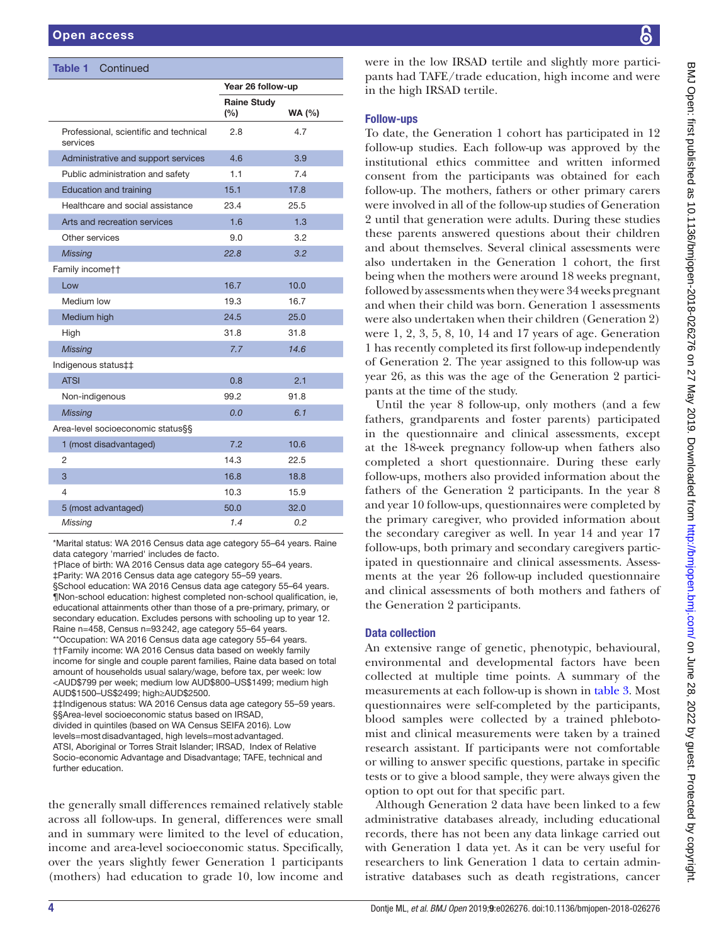| <b>Table 1</b> Continued                           |                           |                   |
|----------------------------------------------------|---------------------------|-------------------|
|                                                    |                           | Year 26 follow-up |
|                                                    | <b>Raine Study</b><br>(%) | <b>WA (%)</b>     |
| Professional, scientific and technical<br>services | 2.8                       | 4.7               |
| Administrative and support services                | 4.6                       | 3.9               |
| Public administration and safety                   | 1.1                       | 7.4               |
| <b>Education and training</b>                      | 15.1                      | 17.8              |
| Healthcare and social assistance                   | 23.4                      | 25.5              |
| Arts and recreation services                       | 1.6                       | 1.3               |
| Other services                                     | 9.0                       | 3.2               |
| <b>Missing</b>                                     | 22.8                      | 3.2               |
| Family incomett                                    |                           |                   |
| Low                                                | 16.7                      | 10.0              |
| Medium low                                         | 19.3                      | 16.7              |
| Medium high                                        | 24.5                      | 25.0              |
| High                                               | 31.8                      | 31.8              |
| <b>Missing</b>                                     | 7.7                       | 14.6              |
| Indigenous status‡‡                                |                           |                   |
| <b>ATSI</b>                                        | 0.8                       | 2.1               |
| Non-indigenous                                     | 99.2                      | 91.8              |
| <b>Missing</b>                                     | 0.0                       | 6.1               |
| Area-level socioeconomic status§§                  |                           |                   |
| 1 (most disadvantaged)                             | 7.2                       | 10.6              |
| $\overline{2}$                                     | 14.3                      | 22.5              |
| 3                                                  | 16.8                      | 18.8              |
| 4                                                  | 10.3                      | 15.9              |
| 5 (most advantaged)                                | 50.0                      | 32.0              |
| Missing                                            | 1.4                       | 0.2               |

\*Marital status: WA 2016 Census data age category 55–64 years. Raine data category 'married' includes de facto.

†Place of birth: WA 2016 Census data age category 55–64 years. ‡Parity: WA 2016 Census data age category 55–59 years. §School education: WA 2016 Census data age category 55–64 years. ¶Non-school education: highest completed non-school qualification, ie, educational attainments other than those of a pre-primary, primary, or secondary education. Excludes persons with schooling up to year 12. Raine n=458, Census n=93242, age category 55–64 years. \*\*Occupation: WA 2016 Census data age category 55–64 years. ††Family income: WA 2016 Census data based on weekly family income for single and couple parent families, Raine data based on total amount of households usual salary/wage, before tax, per week: low <AUD\$799 per week; medium low AUD\$800–US\$1499; medium high AUD\$1500–US\$2499; high≥AUD\$2500. ‡‡Indigenous status: WA 2016 Census data age category 55–59 years. §§Area-level socioeconomic status based on IRSAD, divided in quintiles (based on WA Census SEIFA 2016). Low levels=mostdisadvantaged, high levels=mostadvantaged.

ATSI, Aboriginal or Torres Strait Islander; IRSAD, Index of Relative Socio-economic Advantage and Disadvantage; TAFE, technical and further education.

the generally small differences remained relatively stable across all follow-ups. In general, differences were small and in summary were limited to the level of education, income and area-level socioeconomic status. Specifically, over the years slightly fewer Generation 1 participants (mothers) had education to grade 10, low income and

were in the low IRSAD tertile and slightly more participants had TAFE/trade education, high income and were in the high IRSAD tertile.

## Follow-ups

To date, the Generation 1 cohort has participated in 12 follow-up studies. Each follow-up was approved by the institutional ethics committee and written informed consent from the participants was obtained for each follow-up. The mothers, fathers or other primary carers were involved in all of the follow-up studies of Generation 2 until that generation were adults. During these studies these parents answered questions about their children and about themselves. Several clinical assessments were also undertaken in the Generation 1 cohort, the first being when the mothers were around 18 weeks pregnant, followed by assessments when they were 34 weeks pregnant and when their child was born. Generation 1 assessments were also undertaken when their children (Generation 2) were 1, 2, 3, 5, 8, 10, 14 and 17 years of age. Generation 1 has recently completed its first follow-up independently of Generation 2. The year assigned to this follow-up was year 26, as this was the age of the Generation 2 participants at the time of the study.

Until the year 8 follow-up, only mothers (and a few fathers, grandparents and foster parents) participated in the questionnaire and clinical assessments, except at the 18-week pregnancy follow-up when fathers also completed a short questionnaire. During these early follow-ups, mothers also provided information about the fathers of the Generation 2 participants. In the year 8 and year 10 follow-ups, questionnaires were completed by the primary caregiver, who provided information about the secondary caregiver as well. In year 14 and year 17 follow-ups, both primary and secondary caregivers participated in questionnaire and clinical assessments. Assessments at the year 26 follow-up included questionnaire and clinical assessments of both mothers and fathers of the Generation 2 participants.

### Data collection

An extensive range of genetic, phenotypic, behavioural, environmental and developmental factors have been collected at multiple time points. A summary of the measurements at each follow-up is shown in [table](#page-6-0) 3. Most questionnaires were self-completed by the participants, blood samples were collected by a trained phlebotomist and clinical measurements were taken by a trained research assistant. If participants were not comfortable or willing to answer specific questions, partake in specific tests or to give a blood sample, they were always given the option to opt out for that specific part.

Although Generation 2 data have been linked to a few administrative databases already, including educational records, there has not been any data linkage carried out with Generation 1 data yet. As it can be very useful for researchers to link Generation 1 data to certain administrative databases such as death registrations, cancer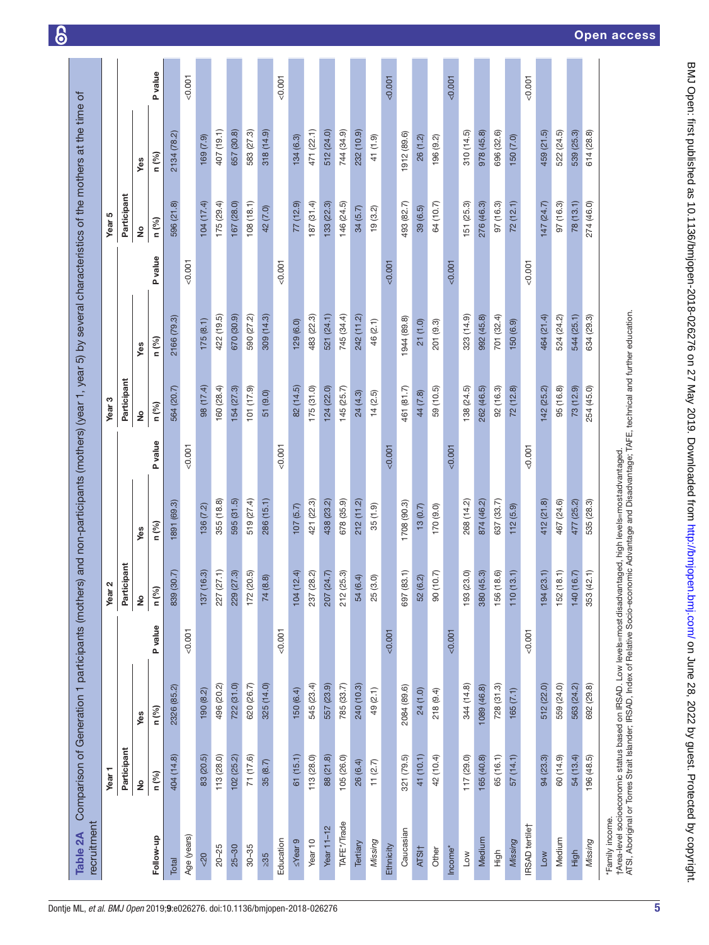<span id="page-4-0"></span>

|                       | Year <sub>1</sub> |             |         | $\boldsymbol{\alpha}$<br>Year |             |                | Year <sub>3</sub> |             |         | Year 5        |             |                |
|-----------------------|-------------------|-------------|---------|-------------------------------|-------------|----------------|-------------------|-------------|---------|---------------|-------------|----------------|
|                       | Participant       |             |         | Participant                   |             |                | Participant       |             |         | Participant   |             |                |
|                       | ş                 | Yes         |         | $\frac{1}{2}$                 | Yes         |                | $\frac{1}{2}$     | Yes         |         | $\frac{1}{2}$ | Yes         |                |
| Follow-up             | n (%)             | n (%)       | P value | n (%)                         | n (%)       | <b>P</b> value | n (%)             | n (%)       | P value | n (%)         | n (%)       | <b>P</b> value |
| Total                 | 404 (14.8)        | 2326 (85.2) |         | 839 (30.7)                    | 1891 (69.3) |                | 564 (20.7)        | 2166 (79.3) |         | 596 (21.8)    | 2134 (78.2) |                |
| Age (years)           |                   |             | 0.001   |                               |             | 0.001          |                   |             | 0.001   |               |             | 0.001          |
| < 20                  | 83 (20.5)         | 190(8.2)    |         | 137(16.3)                     | 136(7.2)    |                | 98 (17.4)         | 175(8.1)    |         | 104 (17.4)    | 169(7.9)    |                |
| $20 - 25$             | 113(28.0)         | 496 (20.2)  |         | 227 (27.1)                    | 355 (18.8)  |                | 160 (28.4)        | 422 (19.5)  |         | 175(29.4)     | 407 (19.1)  |                |
| $25 - 30$             | 102(25.2)         | 722 (31.0)  |         | 229 (27.3)                    | 595 (31.5)  |                | 154 (27.3)        | 670 (30.9)  |         | 167(28.0)     | 657 (30.8)  |                |
| $30 - 35$             | 71 (17.6)         | 620 (26.7)  |         | 172 (20.5)                    | 519 (27.4)  |                | 101 (17.9)        | 590 (27.2)  |         | 108(18.1)     | 583 (27.3)  |                |
| $\geq 35$             | 35(8.7)           | 325 (14.0)  |         | 74 (8.8)                      | 286 (15.1)  |                | 51 (9.0)          | 309 (14.3)  |         | 42 (7.0)      | 318(14.9)   |                |
| Education             |                   |             | < 0.001 |                               |             | 0.001          |                   |             | 50.001  |               |             | 0.001          |
| $\leq$ Year 9         | 61(15.1)          | 150 (6.4)   |         | 104(12.4)                     | 107(5.7)    |                | 82 (14.5)         | 129(6.0)    |         | 77(12.9)      | 134(6.3)    |                |
| Year 10               | 113 (28.0)        | 545 (23.4)  |         | 237 (28.2)                    | 421 (22.3)  |                | 175(31.0)         | 483 (22.3)  |         | 187 (31.4)    | 471 (22.1)  |                |
| Year $11-12$          | 88 (21.8)         | 557 (23.9)  |         | 207 (24.7)                    | 438 (23.2)  |                | 124(22.0)         | 521 (24.1)  |         | 133(22.3)     | 512 (24.0)  |                |
| TAFE*/Trade           | 105(26.0)         | 785 (33.7)  |         | 212 (25.3)                    | 678 (35.9)  |                | 145(25.7)         | 745 (34.4)  |         | 146 (24.5)    | 744 (34.9)  |                |
| Tertiary              | 26 (6.4)          | 240 (10.3)  |         | 54 (6.4)                      | 212(11.2)   |                | 24(4.3)           | 242 (11.2)  |         | 34(5.7)       | 232 (10.9)  |                |
| Missing               | 11(2.7)           | 49 (2.1)    |         | 25(3.0)                       | 35(1.9)     |                | 14(2.5)           | 46 (2.1)    |         | 19(3.2)       | 41 (1.9)    |                |
| Ethnicity             |                   |             | < 0.001 |                               |             | 0.001          |                   |             | < 0.001 |               |             | 0.001          |
| Caucasian             | 321 (79.5)        | 2084 (89.6) |         | 697 (83.1)                    | 1708 (90.3) |                | 461 (81.7)        | 1944 (89.8) |         | 493 (82.7)    | 1912 (89.6) |                |
| ATSI <sub>1</sub>     | 41 (10.1)         | 24 (1.0)    |         | 52 (6.2)                      | 13(0.7)     |                | 44 (7.8)          | 21(1.0)     |         | 39(6.5)       | 26(1.2)     |                |
| Other                 | 42 (10.4)         | 218(9.4)    |         | 90 (10.7)                     | 170 (9.0)   |                | 59 (10.5)         | 201 (9.3)   |         | 64 (10.7)     | 196 (9.2)   |                |
| Income'               |                   |             | < 0.001 |                               |             | 0.007          |                   |             | < 0.001 |               |             | 0.001          |
| Low                   | 117(29.0)         | 344 (14.8)  |         | 193 (23.0)                    | 268 (14.2)  |                | 138 (24.5)        | 323 (14.9)  |         | 151 (25.3)    | 310 (14.5)  |                |
| Medium                | 165(40.8)         | 1089 (46.8) |         | 380 (45.3)                    | 874 (46.2)  |                | 262 (46.5)        | 992 (45.8)  |         | 276 (46.3)    | 978 (45.8)  |                |
| High                  | 65 (16.1)         | 728(31.3)   |         | 156 (18.6)                    | 637 (33.7)  |                | 92 (16.3)         | 701 (32.4)  |         | 97 (16.3)     | 696 (32.6)  |                |
| Missing               | 57 (14.1)         | 165(7.1)    |         | 13.1)<br>110(                 | 112(5.9)    |                | 72(12.8)          | 150 (6.9)   |         | 72(12.1)      | 150 (7.0)   |                |
| <b>IRSAD</b> tertilet |                   |             | 0.007   |                               |             | 0.001          |                   |             | 0.007   |               |             | 0.001          |
| Low                   | 94 (23.3)         | 512 (22.0)  |         | 194(23.1)                     | 412 (21.8)  |                | 142(25.2)         | 464 (21.4)  |         | 147 (24.7)    | 459 (21.5)  |                |
| Medium                | 60 (14.9)         | 559 (24.0)  |         | 152(18.1)                     | 467 (24.6)  |                | 95 (16.8)         | 524 (24.2)  |         | 97 (16.3)     | 522 (24.5)  |                |
| High                  | 54 (13.4)         | 563 (24.2)  |         | 140 (16.7)                    | 477 (25.2)  |                | 73 (12.9)         | 544 (25.1)  |         | 78(13.1)      | 539 (25.3)  |                |
| Missing               | 196 (48.5)        | 692 (29.8)  |         | 353 (42.1)                    | 535 (28.3)  |                | 254 (45.0)        | 634 (29.3)  |         | 274 (46.0)    | 614 (28.8)  |                |

 $\epsilon$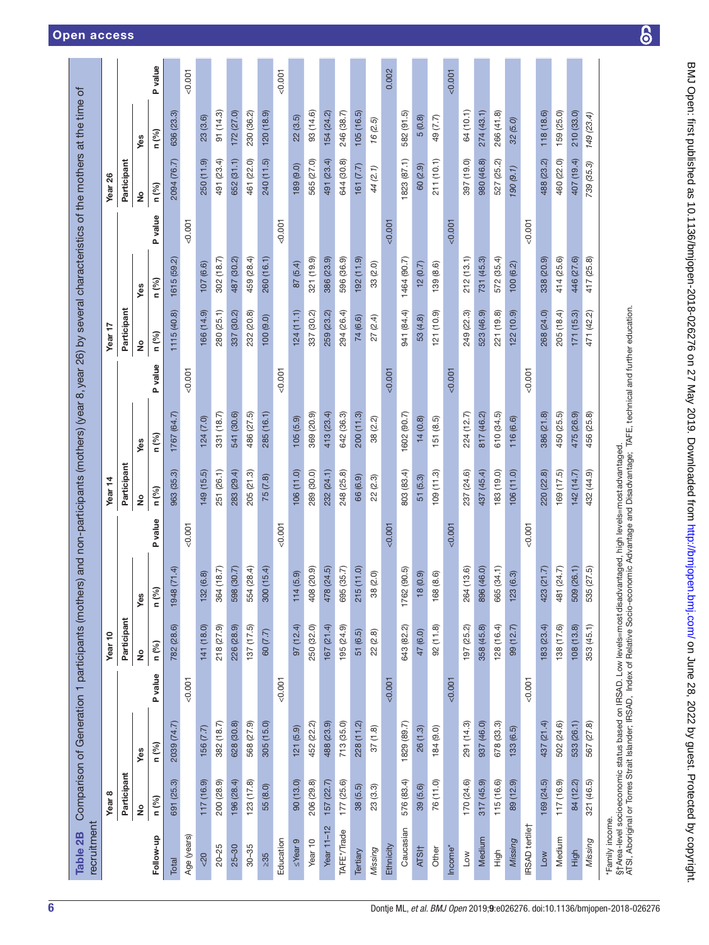| recruitment<br>Table 2B |                   | Comparison of Generation 1 participants (mothers) and non-participants (mothers) (year 8, year 26) by several characteristics of the mothers at the time of                                                                      |         |                                     |                        |         |                    |             |          |               |             |         |               |            |          |
|-------------------------|-------------------|----------------------------------------------------------------------------------------------------------------------------------------------------------------------------------------------------------------------------------|---------|-------------------------------------|------------------------|---------|--------------------|-------------|----------|---------------|-------------|---------|---------------|------------|----------|
|                         | Year <sub>8</sub> |                                                                                                                                                                                                                                  |         | Year <sub>10</sub>                  |                        |         | Year <sub>14</sub> |             |          | Year 17       |             |         | Year 26       |            |          |
|                         | Participant       |                                                                                                                                                                                                                                  |         | Participant                         |                        |         | Participant        |             |          | Participant   |             |         | Participant   |            |          |
|                         | ş                 | Yes                                                                                                                                                                                                                              |         | $\stackrel{\mathtt{o}}{\mathtt{z}}$ | Yes                    |         | ş                  | yes         |          | $\frac{1}{2}$ | Yes         |         | $\frac{1}{2}$ | Yes        |          |
| Follow-up               | n (%)             | n (%)                                                                                                                                                                                                                            | P value | n (%)                               | n (%)                  | P value | n (%)              | n (%)       | P value  | n (%)         | n (%)       | P value | n (%)         | n (%)      | P value  |
| Total                   | 691 (25.3)        | 2039 (74.7)                                                                                                                                                                                                                      |         | 782 (28.6)                          | (71.4)<br>1948         |         | 963 (35.3)         | 1767 (64.7) |          | 1115 (40.8)   | 1615 (59.2) |         | 2094 (76.7)   | 636 (23.3) |          |
| Age (years)             |                   |                                                                                                                                                                                                                                  | 0.007   |                                     |                        | 0.001   |                    |             | 0.001    |               |             | 0.001   |               |            | $-0.001$ |
| $rac{20}{5}$            | 117 (16.9)        | 156(7.7)                                                                                                                                                                                                                         |         | 141 (18.0)                          | (6.8)<br>132           |         | 149 (15.5)         | 124(7.0)    |          | 166 (14.9)    | 107(6.6)    |         | 250 (11.9)    | 23(3.6)    |          |
| $20 - 25$               | 200 (28.9)        | 382 (18.7)                                                                                                                                                                                                                       |         | 218 (27.9)                          | (18.7)<br>364          |         | 251 (26.1)         | 331 (18.7)  |          | 280 (25.1)    | 302 (18.7)  |         | 491 (23.4)    | 91 (14.3)  |          |
| $25 - 30$               | 196 (28.4)        | 628 (30.8)                                                                                                                                                                                                                       |         | 226 (28.9)                          | (30.7)<br>598          |         | 283 (29.4)         | 541 (30.6)  |          | 337 (30.2)    | 487 (30.2)  |         | 652 (31.1)    | 172 (27.0) |          |
| $30 - 35$               | 123 (17.8)        | 568 (27.9)                                                                                                                                                                                                                       |         | 137(17.5)                           | (28.4)<br>554          |         | 205 (21.3)         | 486 (27.5)  |          | 232 (20.8)    | 459 (28.4)  |         | 461 (22.0)    | 230 (36.2) |          |
| $\geq 35$               | 55 (8.0)          | 305(15.0)                                                                                                                                                                                                                        |         | 60 (7.7)                            | (15.4)<br>300          |         | 75(7.8)            | 285 (16.1)  |          | 100 (9.0)     | 260 (16.1)  |         | 240 (11.5)    | 120 (18.9) |          |
| Education               |                   |                                                                                                                                                                                                                                  | 0.007   |                                     |                        | 0.001   |                    |             | 0.001    |               |             | 0.001   |               |            | 0.001    |
| $\leq$ Year 9           | 90(13.0)          | 121(5.9)                                                                                                                                                                                                                         |         | 97(12.4)                            | (5.9)<br>114           |         | 106(11.0)          | 105(5.9)    |          | 124(11.1)     | 87 (5.4)    |         | 189 (9.0)     | 22(3.5)    |          |
| Year 10                 | 206 (29.8)        | 452 (22.2)                                                                                                                                                                                                                       |         | 250 (32.0)                          | (20.9)<br>408          |         | 289 (30.0)         | 369 (20.9)  |          | 337 (30.2)    | 321 (19.9)  |         | 565 (27.0)    | 93 (14.6)  |          |
| Year $11-12$            | 157(22.7)         | 488 (23.9)                                                                                                                                                                                                                       |         | 167 (21.4)                          | (24.5)<br>478          |         | 232 (24.1)         | 413 (23.4)  |          | 259 (23.2)    | 386 (23.9)  |         | 491 (23.4)    | 154 (24.2) |          |
| TAFE*/Trade             | 177(25.6)         | 713 (35.0)                                                                                                                                                                                                                       |         | 195 (24.9)                          | (35.7)<br>695          |         | 248 (25.8)         | 642 (36.3)  |          | 294 (26.4)    | 596 (36.9)  |         | 644 (30.8)    | 246 (38.7) |          |
| Tertiary                | 38(5.5)           | 228 (11.2)                                                                                                                                                                                                                       |         | 51 (6.5)                            | (11.0)<br>215          |         | 66 (6.9)           | 200(11.3)   |          | 74 (6.6)      | 192 (11.9)  |         | 161(7.7)      | 105(16.5)  |          |
| Missing                 | 23(3.3)           | 37(1.8)                                                                                                                                                                                                                          |         | 22(2.8)                             | (2.0)<br>38            |         | 22(2.3)            | 38 (2.2)    |          | 27 (2.4)      | 33 (2.0)    |         | 44 (2.1)      | 16 (2.5)   |          |
| Ethnicity               |                   |                                                                                                                                                                                                                                  | 0.007   |                                     |                        | 0.001   |                    |             | $-0.001$ |               |             | 0.007   |               |            | 0.002    |
| Caucasian               | 576 (83.4)        | 1829 (89.7)                                                                                                                                                                                                                      |         | 643 (82.2)                          | (90.5)<br>1762         |         | 803 (83.4)         | 1602 (90.7) |          | 941 (84.4)    | 1464 (90.7) |         | 1823 (87.1)   | 582 (91.5) |          |
| ATSI <sub>1</sub>       | 39 (5.6)          | 26(1.3)                                                                                                                                                                                                                          |         | 47 (6.0)                            | (0.9)<br>$\frac{8}{1}$ |         | 51 (5.3)           | 14(0.8)     |          | 53 (4.8)      | 12(0.7)     |         | 60 (2.9)      | 5(0.8)     |          |
| Other                   | 76 (11.0)         | 184 (9.0)                                                                                                                                                                                                                        |         | 92 (11.8)                           | (8.6)<br>168           |         | 109(11.3)          | 151(8.5)    |          | 121 (10.9)    | 139 (8.6)   |         | 211(10.1)     | 49 (7.7)   |          |
| Income*                 |                   |                                                                                                                                                                                                                                  | 0.007   |                                     |                        | 0.001   |                    |             | 0.001    |               |             | 0.007   |               |            | 0.001    |
| Low                     | 170 (24.6)        | 291 (14.3)                                                                                                                                                                                                                       |         | 197 (25.2)                          | (13.6)<br>264          |         | 237 (24.6)         | 224 (12.7)  |          | 249 (22.3)    | 212(13.1)   |         | 397 (19.0)    | 64 (10.1)  |          |
| Medium                  | 317 (45.9)        | 937 (46.0)                                                                                                                                                                                                                       |         | 358 (45.8)                          | (46.0)<br>896          |         | 437 (45.4)         | 817 (46.2)  |          | 523 (46.9)    | 731 (45.3)  |         | 980 (46.8)    | 274 (43.1) |          |
| High                    | 115 (16.6)        | 678 (33.3)                                                                                                                                                                                                                       |         | 128(16.4)                           | (34.1)<br>665          |         | 183 (19.0)         | 610 (34.5)  |          | 221 (19.8)    | 572 (35.4)  |         | 527 (25.2)    | 266 (41.8) |          |
| Missing                 | 89 (12.9)         | 133(6.5)                                                                                                                                                                                                                         |         | 99 (12.7)                           | (6.3)<br>123           |         | 106(11.0)          | 116 (6.6)   |          | 122(10.9)     | 100(6.2)    |         | 190 (9.1)     | 32 (5.0)   |          |
| <b>IRSAD</b> tertile†   |                   |                                                                                                                                                                                                                                  | 0.007   |                                     |                        | 0.001   |                    |             | 0.001    |               |             | 0.001   |               |            |          |
| Low                     | 169 (24.5)        | 437 (21.4)                                                                                                                                                                                                                       |         | 183(23.4)                           | (21.7)<br>423          |         | 220 (22.8)         | 386 (21.8)  |          | 268 (24.0)    | 338 (20.9)  |         | 488 (23.2)    | 118 (18.6) |          |
| Medium                  | 117(16.9)         | 502 (24.6)                                                                                                                                                                                                                       |         | 138 (17.6)                          | (24.7)<br>481          |         | 169 (17.5)         | 450 (25.5)  |          | 205 (18.4)    | 414 (25.6)  |         | 460 (22.0)    | 159 (25.0) |          |
| High                    | 84 (12.2)         | 533 (26.1)                                                                                                                                                                                                                       |         | 108(13.8)                           | (26.1)<br>509          |         | 142 (14.7)         | 475 (26.9)  |          | 171(15.3)     | 446 (27.6)  |         | 407 (19.4)    | 210 (33.0) |          |
| Missing                 | 321 (46.5)        | 567 (27.8)                                                                                                                                                                                                                       |         | 353 (45.1)                          | (27.5)<br>535          |         | 432 (44.9)         | 456 (25.8)  |          | 471 (42.2)    | 417 (25.8)  |         | 739 (35.3)    | 149 (23.4) |          |
| *Family income.         |                   | §†Area-level socioeconomic status based on IRSAD. Low levels=most disadvantaged, high levels=most advantaged.<br>ATSI, Aboriginal or Torres Strait Islander: IRSAD. Index of Relative Socio-economic Advantage and Disadvantage: |         |                                     |                        |         |                    |             |          |               |             |         |               |            |          |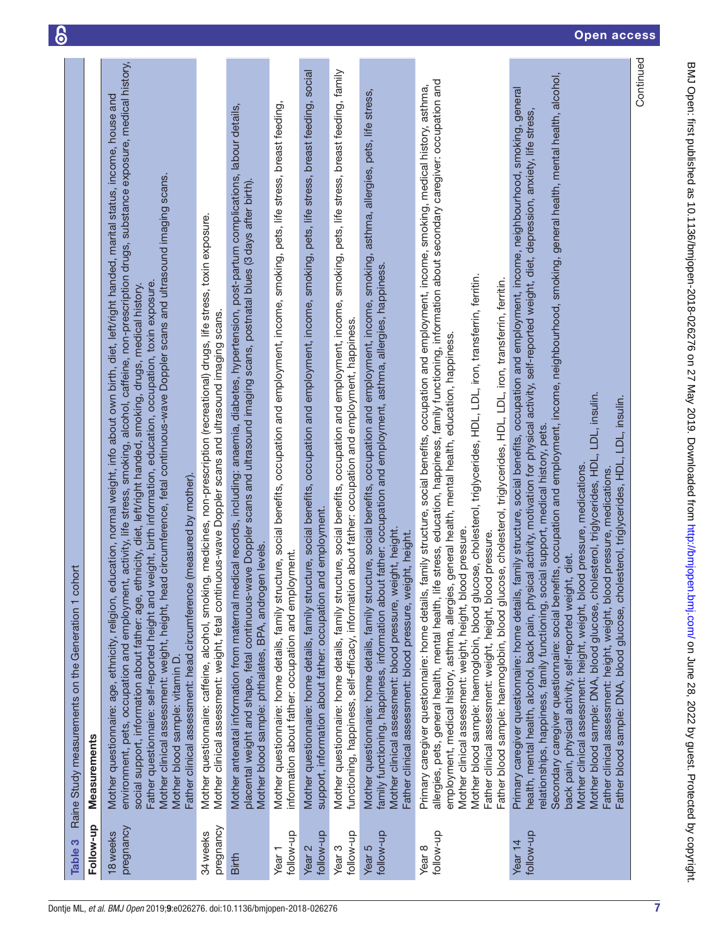<span id="page-6-0"></span>

| Table 3                          | Raine Study measurements on the Generation 1 cohort                                                                                                                                                                                                                                                                                                                                                                                                                                                                                                                                                                                                                                                                                                                                                                                                                                                                                                                                            |  |
|----------------------------------|------------------------------------------------------------------------------------------------------------------------------------------------------------------------------------------------------------------------------------------------------------------------------------------------------------------------------------------------------------------------------------------------------------------------------------------------------------------------------------------------------------------------------------------------------------------------------------------------------------------------------------------------------------------------------------------------------------------------------------------------------------------------------------------------------------------------------------------------------------------------------------------------------------------------------------------------------------------------------------------------|--|
| Follow-up                        | <b>Measurements</b>                                                                                                                                                                                                                                                                                                                                                                                                                                                                                                                                                                                                                                                                                                                                                                                                                                                                                                                                                                            |  |
| pregnancy<br>18 <sub>weeks</sub> | activity, life stress, smoking, alcohol, caffeine, non-prescription drugs, substance exposure, medical history,<br>Mother questionnaire: age, ethnicity, religion, education, normal weight, info about own birth, diet, left/right handed, marital status, income, house and<br>circumference, fetal continuous-wave Doppler scans and ultrasound imaging scans.<br>Father questionnaire: self-reported height and weight, birth information, education, occupation, toxin exposure.<br>social support, information about father: age, ethnicity, diet, left/right handed, smoking, drugs, medical history.<br>Father clinical assessment: head circumference (measured by mother).<br>Mother clinical assessment: weight, height, head<br>environment, pets, occupation and employment,<br>Mother blood sample: vitamin D                                                                                                                                                                    |  |
| pregnancy<br>34 weeks            | medicines, non-prescription (recreational) drugs, life stress, toxin exposure.<br>Mother clinical assessment: weight, fetal continuous-wave Doppler scans and ultrasound imaging scans.<br>Mother questionnaire: caffeine, alcohol, smoking,                                                                                                                                                                                                                                                                                                                                                                                                                                                                                                                                                                                                                                                                                                                                                   |  |
| Birth                            | Mother antenatal information from maternal medical records, including: anaemia, diabetes, hypertension, post-partum complications, labour details,<br>placental weight and shape, fetal continuous-wave Doppler scans and ultrasound imaging scans, postnatal blues (3 days after birth).<br>levels.<br>Mother blood sample: phthalates, BPA, androgen                                                                                                                                                                                                                                                                                                                                                                                                                                                                                                                                                                                                                                         |  |
| follow-up<br>Year <sub>1</sub>   | Mother questionnaire: home details, family structure, social benefits, occupation and employment, income, smoking, pets, life stress, breast feeding,<br>information about father: occupation and employment.                                                                                                                                                                                                                                                                                                                                                                                                                                                                                                                                                                                                                                                                                                                                                                                  |  |
| follow-up<br>Year <sub>2</sub>   | Mother questionnaire: home details, family structure, social benefits, occupation and employment, income, smoking, pets, life stress, breast feeding, social<br>support, information about father: occupation and employment.                                                                                                                                                                                                                                                                                                                                                                                                                                                                                                                                                                                                                                                                                                                                                                  |  |
| follow-up<br>Year <sub>3</sub>   | Mother questionnaire: home details, family structure, social benefits, occupation and employment, income, smoking, pets, life stress, breast feeding, family<br>functioning, happiness, self-efficacy, information about father: occupation and employment, happiness.                                                                                                                                                                                                                                                                                                                                                                                                                                                                                                                                                                                                                                                                                                                         |  |
| follow-up<br>Year <sub>5</sub>   | Mother questionnaire: home details, family structure, social benefits, occupation and employment, income, smoking, asthma, allergies, pets, life stress,<br>family functioning, happiness, information about father: occupation and employment, asthma, allergies, happiness.<br>Mother clinical assessment: blood pressure, weight, height.<br>Father clinical assessment: blood pressure, weight, height.                                                                                                                                                                                                                                                                                                                                                                                                                                                                                                                                                                                    |  |
| follow-up<br>Year <sub>8</sub>   | allergies, pets, general health, mental health, life stress, education, happiness, family functioning, information about secondary caregiver: occupation and<br>Primary caregiver questionnaire: home details, family structure, social benefits, occupation and employment, income, smoking, medical history, asthma,<br>Mother blood sample: haemoglobin, blood glucose, cholesterol, triglycerides, HDL, LDL, iron, transferrin, ferritin.<br>Father blood sample: haemoglobin, blood glucose, cholesterol, triglycerides, HDL, LDL, iron, transferrin, ferritin.<br>employment, medical history, asthma, allergies, general health, mental health, education, happiness.<br>pressure<br>Father clinical assessment: weight, height, blood pressure.<br>Mother clinical assessment: weight, height, blood                                                                                                                                                                                   |  |
| follow-up<br>Year <sub>14</sub>  | Secondary caregiver questionnaire: social benefits, occupation and employment, income, neighbourhood, smoking, general health, mental health, alcohol,<br>Primary caregiver questionnaire: home details, family structure, social benefits, occupation and employment, income, neighbourhood, smoking, general<br>health, mental health, alcohol, back pain, physical activity, motivation for physical activity, self-reported weight, diet, depression, anxiety, life stress,<br>LDL, insulin.<br>Father blood sample: DNA, blood glucose, cholesterol, triglycerides, HDL, LDL, insulin.<br>relationships, happiness, family functioning, social support, medical history, pets.<br>Mother blood sample: DNA, blood glucose, cholesterol, triglycerides, HDL,<br>pressure, medications.<br>pressure, medications.<br>diet.<br>Mother clinical assessment: height, weight, blood<br>Father clinical assessment: height, weight, blood<br>back pain, physical activity, self-reported weight, |  |
|                                  | Continued                                                                                                                                                                                                                                                                                                                                                                                                                                                                                                                                                                                                                                                                                                                                                                                                                                                                                                                                                                                      |  |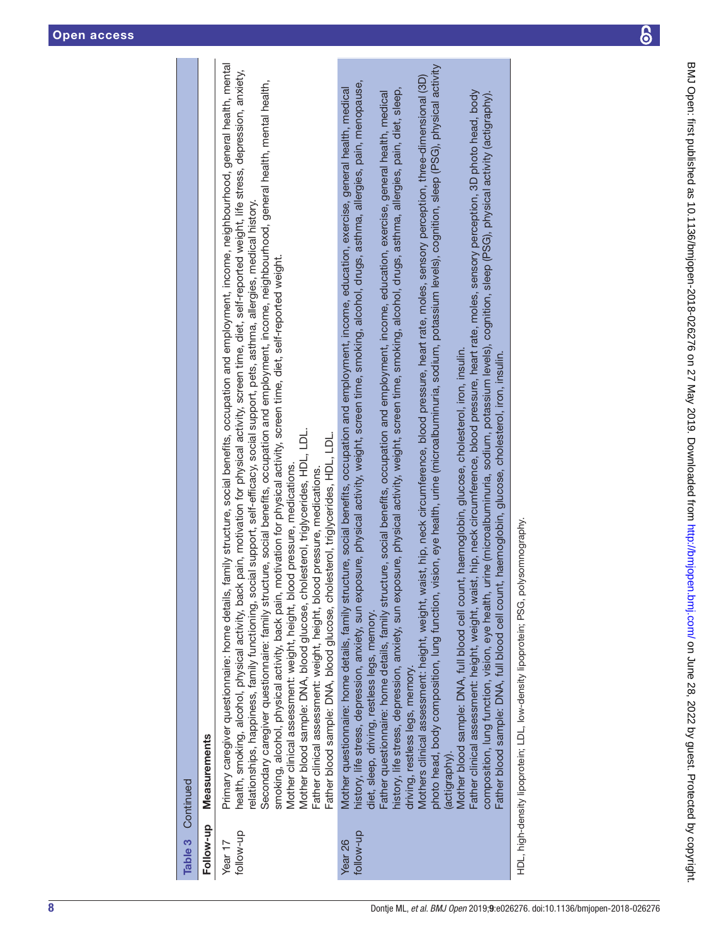| Table 3                | Continued                                                                                                                                                                                                                                                                                                                                                                                                                                                                                                                                                                                                                                                                                                                                                                                                                                                                                                                                                                                                                                                                                                                                                                                                                                                                                                                                                                                                                                                                                                                                                                                                                        |
|------------------------|----------------------------------------------------------------------------------------------------------------------------------------------------------------------------------------------------------------------------------------------------------------------------------------------------------------------------------------------------------------------------------------------------------------------------------------------------------------------------------------------------------------------------------------------------------------------------------------------------------------------------------------------------------------------------------------------------------------------------------------------------------------------------------------------------------------------------------------------------------------------------------------------------------------------------------------------------------------------------------------------------------------------------------------------------------------------------------------------------------------------------------------------------------------------------------------------------------------------------------------------------------------------------------------------------------------------------------------------------------------------------------------------------------------------------------------------------------------------------------------------------------------------------------------------------------------------------------------------------------------------------------|
| Follow-up              | <b>Measurements</b>                                                                                                                                                                                                                                                                                                                                                                                                                                                                                                                                                                                                                                                                                                                                                                                                                                                                                                                                                                                                                                                                                                                                                                                                                                                                                                                                                                                                                                                                                                                                                                                                              |
| follow-up<br>Year $17$ | Primary caregiver questionnaire: home details, family structure, social benefits, occupation and employment, income, neighbourhood, general health, mental<br>health, smoking, alcohol, physical activity, back pain, motivation for physical activity, screen time, diet, self-reported weight, life stress, depression, anxiety,<br>Secondary caregiver questionnaire: family structure, social benefits, occupation and employment, income, neighbourhood, general health, mental health,<br>relationships, happiness, family functioning, social support, self-efficacy, social support, pets, asthma, allergies, medical history.<br>smoking, alcohol, physical activity, back pain, motivation for physical activity, screen time, diet, self-reported weight.<br>Mother blood sample: DNA, blood glucose, cholesterol, triglycerides, HDL, LDL.<br>Father blood sample: DNA, blood glucose, cholesterol, triglycerides, HDL, LDL.<br>Mother clinical assessment: weight, height, blood pressure, medications<br>Father clinical assessment: weight, height, blood pressure, medications.                                                                                                                                                                                                                                                                                                                                                                                                                                                                                                                                  |
| follow-up<br>Year 26   | photo head, body composition, lung function, wision, eye health, urine (microalbuminuria, sodium, potassium levels), cognition, sleep (PSG), physical activity<br>Mothers clinical assessment: height, weight, waist, hip, neck circumference, blood pressure, heart rate, moles, sensory perception, three-dimensional (3D)<br>history, life stress, depression, anxiety, sun exposure, physical activity, weight, screen time, smoking, alcohol, drugs, asthma, allergies, pain, menopause,<br>Mother questionnaire: home details, family structure, social benefits, occupation and employment, income, education, exercise, general health, medical<br>history, life stress, depression, anxiety, sun exposure, physical activity, weight, screen time, smoking, alcohol, drugs, asthma, allergies, pain, diet, sleep,<br>Father clinical assessment: height, weight, waist, hip, neck circumference, blood pressure, heart rate, moles, sensory perception, 3D photo head, body<br>Father questionnaire: home details, family structure, social benefits, occupation and employment, income, education, exercise, general health, medical<br>composition, lung function, vision, eye health, urine (microalbuminuria, sodium, potassium levels), cognition, sleep (PSG), physical activity (actigraphy).<br>Mother blood sample: DNA, full blood cell count, haemoglobin, glucose, cholesterol, iron, insulin.<br>haemoglobin, glucose, cholesterol, iron, insulin.<br>Father blood sample: DNA, full blood cell count,<br>diet, sleep, driving, restless legs, memory.<br>Iriving, restless legs, memory.<br>(actigraphy). |
|                        | HDL, high-density lipoprotein; LDL, low-density lipoprotein; PSG, polysomnography.                                                                                                                                                                                                                                                                                                                                                                                                                                                                                                                                                                                                                                                                                                                                                                                                                                                                                                                                                                                                                                                                                                                                                                                                                                                                                                                                                                                                                                                                                                                                               |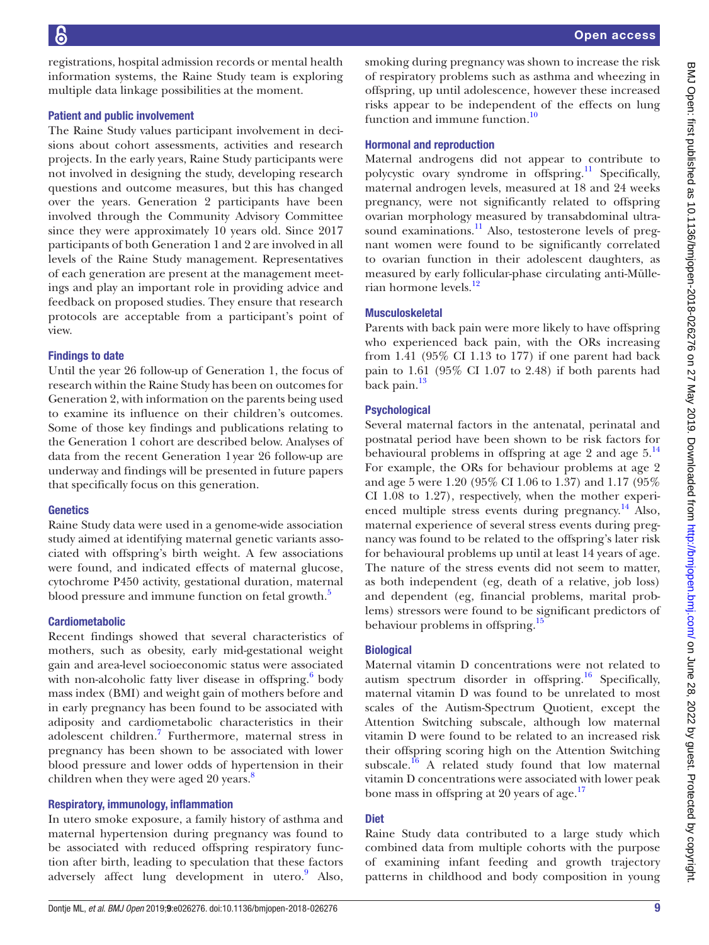of respiratory problems such as asthma and wheezing in offspring, up until adolescence, however these increased risks appear to be independent of the effects on lung function and immune function.<sup>10</sup> Hormonal and reproduction Maternal androgens did not appear to contribute to polycystic ovary syndrome in offspring.<sup>11</sup> Specifically, maternal androgen levels, measured at 18 and 24 weeks pregnancy, were not significantly related to offspring ovarian morphology measured by transabdominal ultrasound examinations.<sup>11</sup> Also, testosterone levels of pregnant women were found to be significantly correlated to ovarian function in their adolescent daughters, as measured by early follicular-phase circulating anti-Müllerian hormone levels.<sup>12</sup> Musculoskeletal Parents with back pain were more likely to have offspring who experienced back pain, with the ORs increasing from 1.41 (95% CI 1.13 to 177) if one parent had back pain to 1.61 (95% CI 1.07 to 2.48) if both parents had back pain.<sup>[13](#page-10-7)</sup> **Psychological** 

Several maternal factors in the antenatal, perinatal and postnatal period have been shown to be risk factors for behavioural problems in offspring at age 2 and age  $5.^{14}$  $5.^{14}$  $5.^{14}$ For example, the ORs for behaviour problems at age 2 and age 5 were 1.20 (95% CI 1.06 to 1.37) and 1.17 (95% CI 1.08 to 1.27), respectively, when the mother experienced multiple stress events during pregnancy.<sup>14</sup> Also, maternal experience of several stress events during pregnancy was found to be related to the offspring's later risk for behavioural problems up until at least 14 years of age. The nature of the stress events did not seem to matter, as both independent (eg, death of a relative, job loss) and dependent (eg, financial problems, marital problems) stressors were found to be significant predictors of behaviour problems in offspring.<sup>15</sup>

smoking during pregnancy was shown to increase the risk

### **Biological**

Maternal vitamin D concentrations were not related to autism spectrum disorder in offspring.<sup>16</sup> Specifically, maternal vitamin D was found to be unrelated to most scales of the Autism-Spectrum Quotient, except the Attention Switching subscale, although low maternal vitamin D were found to be related to an increased risk their offspring scoring high on the Attention Switching subscale.<sup>16</sup> A related study found that low maternal vitamin D concentrations were associated with lower peak bone mass in offspring at 20 years of age.<sup>17</sup>

# **Diet**

Raine Study data contributed to a large study which combined data from multiple cohorts with the purpose of examining infant feeding and growth trajectory patterns in childhood and body composition in young

registrations, hospital admission records or mental health information systems, the Raine Study team is exploring multiple data linkage possibilities at the moment.

#### Patient and public involvement

The Raine Study values participant involvement in decisions about cohort assessments, activities and research projects. In the early years, Raine Study participants were not involved in designing the study, developing research questions and outcome measures, but this has changed over the years. Generation 2 participants have been involved through the Community Advisory Committee since they were approximately 10 years old. Since 2017 participants of both Generation 1 and 2 are involved in all levels of the Raine Study management. Representatives of each generation are present at the management meetings and play an important role in providing advice and feedback on proposed studies. They ensure that research protocols are acceptable from a participant's point of view.

### Findings to date

Until the year 26 follow-up of Generation 1, the focus of research within the Raine Study has been on outcomes for Generation 2, with information on the parents being used to examine its influence on their children's outcomes. Some of those key findings and publications relating to the Generation 1 cohort are described below. Analyses of data from the recent Generation 1year 26 follow-up are underway and findings will be presented in future papers that specifically focus on this generation.

# **Genetics**

Raine Study data were used in a genome-wide association study aimed at identifying maternal genetic variants associated with offspring's birth weight. A few associations were found, and indicated effects of maternal glucose, cytochrome P450 activity, gestational duration, maternal blood pressure and immune function on fetal growth.<sup>5</sup>

# Cardiometabolic

Recent findings showed that several characteristics of mothers, such as obesity, early mid-gestational weight gain and area-level socioeconomic status were associated with non-alcoholic fatty liver disease in offspring.<sup>[6](#page-10-0)</sup> body mass index (BMI) and weight gain of mothers before and in early pregnancy has been found to be associated with adiposity and cardiometabolic characteristics in their adolescent children.<sup>7</sup> Furthermore, maternal stress in pregnancy has been shown to be associated with lower blood pressure and lower odds of hypertension in their children when they were aged 20 years.<sup>[8](#page-10-2)</sup>

# Respiratory, immunology, inflammation

In utero smoke exposure, a family history of asthma and maternal hypertension during pregnancy was found to be associated with reduced offspring respiratory function after birth, leading to speculation that these factors adversely affect lung development in utero.<sup>[9](#page-10-3)</sup> Also,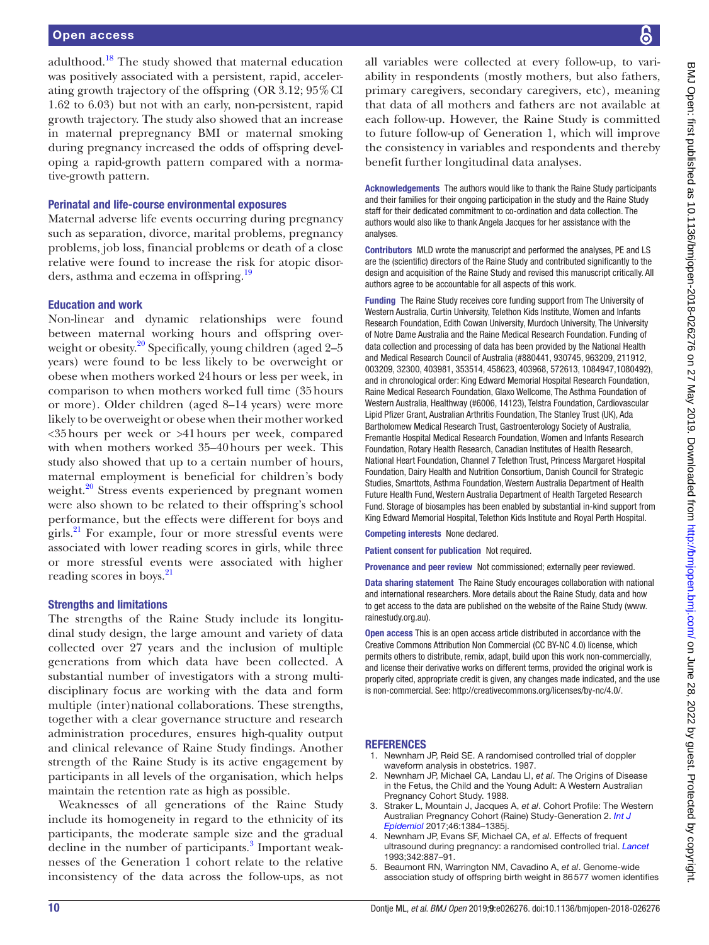adulthood.<sup>18</sup> The study showed that maternal education was positively associated with a persistent, rapid, accelerating growth trajectory of the offspring (OR 3.12; 95%CI 1.62 to 6.03) but not with an early, non-persistent, rapid growth trajectory. The study also showed that an increase in maternal prepregnancy BMI or maternal smoking during pregnancy increased the odds of offspring developing a rapid-growth pattern compared with a normative-growth pattern.

#### Perinatal and life-course environmental exposures

Maternal adverse life events occurring during pregnancy such as separation, divorce, marital problems, pregnancy problems, job loss, financial problems or death of a close relative were found to increase the risk for atopic disorders, asthma and eczema in offspring.<sup>19</sup>

#### Education and work

Non-linear and dynamic relationships were found between maternal working hours and offspring over-weight or obesity.<sup>[20](#page-10-14)</sup> Specifically, young children (aged 2-5 years) were found to be less likely to be overweight or obese when mothers worked 24hours or less per week, in comparison to when mothers worked full time (35hours or more). Older children (aged 8–14 years) were more likely to be overweight or obese when their mother worked <35hours per week or >41hours per week, compared with when mothers worked 35–40hours per week. This study also showed that up to a certain number of hours, maternal employment is beneficial for children's body weight. $^{20}$  Stress events experienced by pregnant women were also shown to be related to their offspring's school performance, but the effects were different for boys and girls.<sup>21</sup> For example, four or more stressful events were associated with lower reading scores in girls, while three or more stressful events were associated with higher reading scores in boys.<sup>[21](#page-10-15)</sup>

#### Strengths and limitations

The strengths of the Raine Study include its longitudinal study design, the large amount and variety of data collected over 27 years and the inclusion of multiple generations from which data have been collected. A substantial number of investigators with a strong multidisciplinary focus are working with the data and form multiple (inter)national collaborations. These strengths, together with a clear governance structure and research administration procedures, ensures high-quality output and clinical relevance of Raine Study findings. Another strength of the Raine Study is its active engagement by participants in all levels of the organisation, which helps maintain the retention rate as high as possible.

Weaknesses of all generations of the Raine Study include its homogeneity in regard to the ethnicity of its participants, the moderate sample size and the gradual decline in the number of participants.<sup>[3](#page-9-1)</sup> Important weaknesses of the Generation 1 cohort relate to the relative inconsistency of the data across the follow-ups, as not

all variables were collected at every follow-up, to variability in respondents (mostly mothers, but also fathers, primary caregivers, secondary caregivers, etc), meaning that data of all mothers and fathers are not available at each follow-up. However, the Raine Study is committed to future follow-up of Generation 1, which will improve the consistency in variables and respondents and thereby benefit further longitudinal data analyses.

Acknowledgements The authors would like to thank the Raine Study participants and their families for their ongoing participation in the study and the Raine Study staff for their dedicated commitment to co-ordination and data collection. The authors would also like to thank Angela Jacques for her assistance with the analyses.

Contributors MLD wrote the manuscript and performed the analyses, PE and LS are the (scientific) directors of the Raine Study and contributed significantly to the design and acquisition of the Raine Study and revised this manuscript critically. All authors agree to be accountable for all aspects of this work.

Funding The Raine Study receives core funding support from The University of Western Australia, Curtin University, Telethon Kids Institute, Women and Infants Research Foundation, Edith Cowan University, Murdoch University, The University of Notre Dame Australia and the Raine Medical Research Foundation. Funding of data collection and processing of data has been provided by the National Health and Medical Research Council of Australia (#880441, 930745, 963209, 211912, 003209, 32300, 403981, 353514, 458623, 403968, 572613, 1084947,1080492), and in chronological order: King Edward Memorial Hospital Research Foundation, Raine Medical Research Foundation, Glaxo Wellcome, The Asthma Foundation of Western Australia, Healthway (#6006, 14123), Telstra Foundation, Cardiovascular Lipid Pfizer Grant, Australian Arthritis Foundation, The Stanley Trust (UK), Ada Bartholomew Medical Research Trust, Gastroenterology Society of Australia, Fremantle Hospital Medical Research Foundation, Women and Infants Research Foundation, Rotary Health Research, Canadian Institutes of Health Research, National Heart Foundation, Channel 7 Telethon Trust, Princess Margaret Hospital Foundation, Dairy Health and Nutrition Consortium, Danish Council for Strategic Studies, Smarttots, Asthma Foundation, Western Australia Department of Health Future Health Fund, Western Australia Department of Health Targeted Research Fund. Storage of biosamples has been enabled by substantial in-kind support from King Edward Memorial Hospital, Telethon Kids Institute and Royal Perth Hospital.

Competing interests None declared.

Patient consent for publication Not required.

Provenance and peer review Not commissioned; externally peer reviewed.

Data sharing statement The Raine Study encourages collaboration with national and international researchers. More details about the Raine Study, data and how to get access to the data are published on the website of the Raine Study ([www.](www.rainestudy.org.au) [rainestudy.org.au](www.rainestudy.org.au)).

Open access This is an open access article distributed in accordance with the Creative Commons Attribution Non Commercial (CC BY-NC 4.0) license, which permits others to distribute, remix, adapt, build upon this work non-commercially, and license their derivative works on different terms, provided the original work is properly cited, appropriate credit is given, any changes made indicated, and the use is non-commercial. See: [http://creativecommons.org/licenses/by-nc/4.0/.](http://creativecommons.org/licenses/by-nc/4.0/)

#### **REFERENCES**

- <span id="page-9-0"></span>1. Newnham JP, Reid SE. A randomised controlled trial of doppler waveform analysis in obstetrics. 1987.
- 2. Newnham JP, Michael CA, Landau LI, *et al*. The Origins of Disease in the Fetus, the Child and the Young Adult: A Western Australian Pregnancy Cohort Study. 1988.
- <span id="page-9-1"></span>3. Straker L, Mountain J, Jacques A, *et al*. Cohort Profile: The Western Australian Pregnancy Cohort (Raine) Study-Generation 2. *[Int J](http://dx.doi.org/10.1093/ije/dyw308)  [Epidemiol](http://dx.doi.org/10.1093/ije/dyw308)* 2017;46:1384–1385j.
- <span id="page-9-2"></span>4. Newnham JP, Evans SF, Michael CA, *et al*. Effects of frequent ultrasound during pregnancy: a randomised controlled trial. *[Lancet](http://dx.doi.org/10.1016/0140-6736(93)91944-H)* 1993;342:887–91.
- <span id="page-9-3"></span>5. Beaumont RN, Warrington NM, Cavadino A, *et al*. Genome-wide association study of offspring birth weight in 86577 women identifies